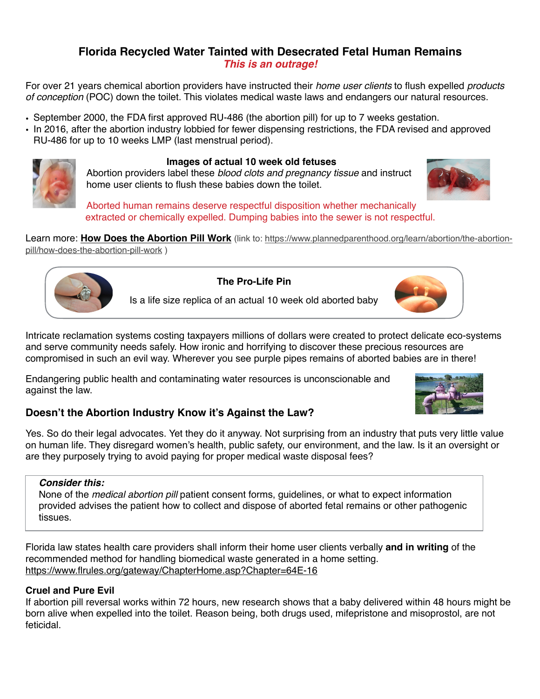## **Florida Recycled Water Tainted with Desecrated Fetal Human Remains** *This is an outrage!*

For over 21 years chemical abortion providers have instructed their *home user clients* to flush expelled *products of conception* (POC) down the toilet. This violates medical waste laws and endangers our natural resources.

- September 2000, the FDA first approved RU-486 (the abortion pill) for up to 7 weeks gestation.
- In 2016, after the abortion industry lobbied for fewer dispensing restrictions, the FDA revised and approved RU-486 for up to 10 weeks LMP (last menstrual period).



#### **Images of actual 10 week old fetuses**

Abortion providers label these *blood clots and pregnancy tissue* and instruct home user clients to flush these babies down the toilet.



Aborted human remains deserve respectful disposition whether mechanically extracted or chemically expelled. Dumping babies into the sewer is not respectful.

Learn more: **[How Does the Abortion Pill Work](https://www.plannedparenthood.org/learn/abortion/the-abortion-pill/how-does-the-abortion-pill-work)** [\(link to: https://www.plannedparenthood.org/learn/abortion/the-abortion](https://www.plannedparenthood.org/learn/abortion/the-abortion-pill/how-does-the-abortion-pill-work)pill/how-does-the-abortion-pill-work )



#### **The Pro-Life Pin**

Is a life size replica of an actual 10 week old aborted baby

Intricate reclamation systems costing taxpayers millions of dollars were created to protect delicate eco-systems and serve community needs safely. How ironic and horrifying to discover these precious resources are compromised in such an evil way. Wherever you see purple pipes remains of aborted babies are in there!

Endangering public health and contaminating water resources is unconscionable and against the law.



## **Doesn't the Abortion Industry Know it's Against the Law?**

Yes. So do their legal advocates. Yet they do it anyway. Not surprising from an industry that puts very little value on human life. They disregard women's health, public safety, our environment, and the law. Is it an oversight or are they purposely trying to avoid paying for proper medical waste disposal fees?

#### *Consider this:*

None of the *medical abortion pill* patient consent forms, guidelines, or what to expect information provided advises the patient how to collect and dispose of aborted fetal remains or other pathogenic tissues.

Florida law states health care providers shall inform their home user clients verbally **and in writing** of the recommended method for handling biomedical waste generated in a home setting. <https://www.flrules.org/gateway/ChapterHome.asp?Chapter=64E-16>

### **Cruel and Pure Evil**

If abortion pill reversal works within 72 hours, new research shows that a baby delivered within 48 hours might be born alive when expelled into the toilet. Reason being, both drugs used, mifepristone and misoprostol, are not feticidal.